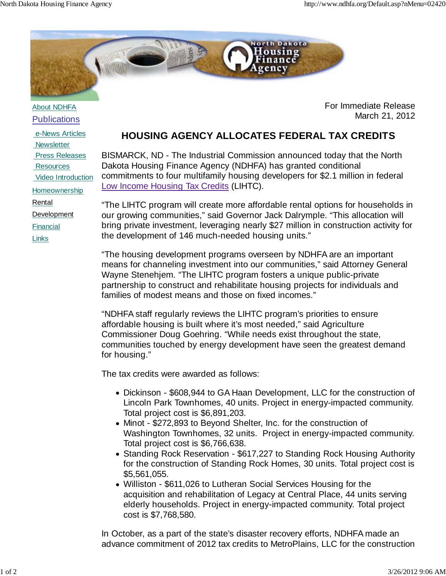

About NDHFA **Publications** 

 e-News Articles **Newsletter**  Press Releases **Resources**  Video Introduction Homeownership Rental Development Financial Links

## For Immediate Release March 21, 2012

## **HOUSING AGENCY ALLOCATES FEDERAL TAX CREDITS**

BISMARCK, ND - The Industrial Commission announced today that the North Dakota Housing Finance Agency (NDHFA) has granted conditional commitments to four multifamily housing developers for \$2.1 million in federal Low Income Housing Tax Credits (LIHTC).

"The LIHTC program will create more affordable rental options for households in our growing communities," said Governor Jack Dalrymple. "This allocation will bring private investment, leveraging nearly \$27 million in construction activity for the development of 146 much-needed housing units."

"The housing development programs overseen by NDHFA are an important means for channeling investment into our communities," said Attorney General Wayne Stenehjem. "The LIHTC program fosters a unique public-private partnership to construct and rehabilitate housing projects for individuals and families of modest means and those on fixed incomes."

"NDHFA staff regularly reviews the LIHTC program's priorities to ensure affordable housing is built where it's most needed," said Agriculture Commissioner Doug Goehring. "While needs exist throughout the state, communities touched by energy development have seen the greatest demand for housing."

The tax credits were awarded as follows:

- Dickinson \$608,944 to GA Haan Development, LLC for the construction of Lincoln Park Townhomes, 40 units. Project in energy-impacted community. Total project cost is \$6,891,203.
- Minot \$272,893 to Beyond Shelter, Inc. for the construction of Washington Townhomes, 32 units. Project in energy-impacted community. Total project cost is \$6,766,638.
- Standing Rock Reservation \$617,227 to Standing Rock Housing Authority for the construction of Standing Rock Homes, 30 units. Total project cost is \$5,561,055.
- Williston \$611,026 to Lutheran Social Services Housing for the acquisition and rehabilitation of Legacy at Central Place, 44 units serving elderly households. Project in energy-impacted community. Total project cost is \$7,768,580.

In October, as a part of the state's disaster recovery efforts, NDHFA made an advance commitment of 2012 tax credits to MetroPlains, LLC for the construction